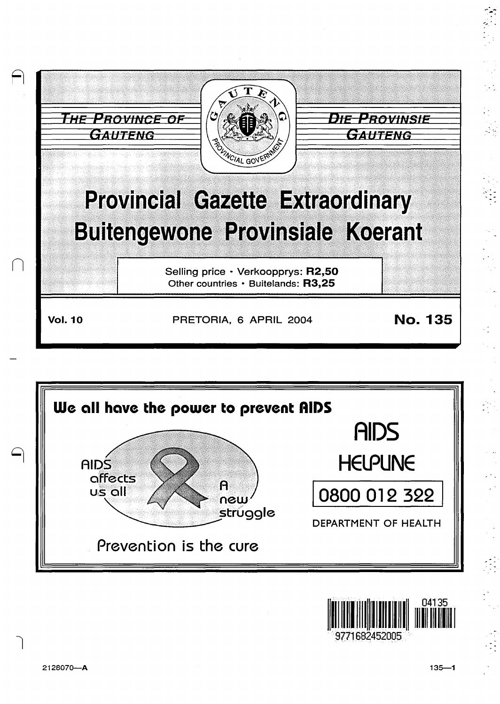





 $\bigcap$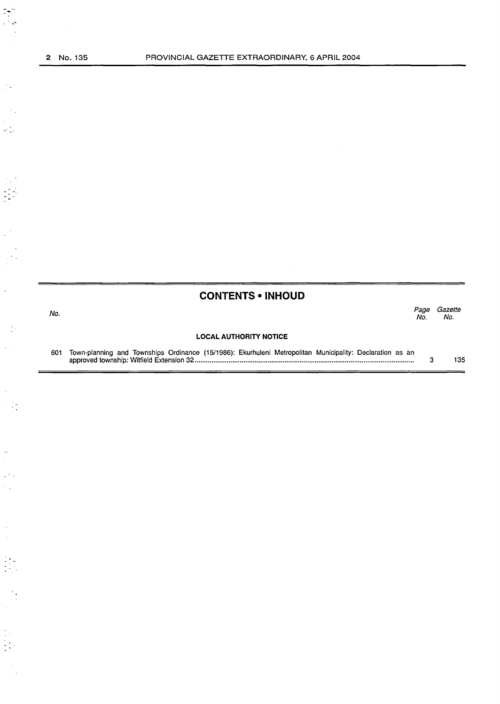' --

 $\frac{1}{2}$  .

 $\frac{1}{2}$ 

 $\ddot{\cdot}$ 

 $\frac{1}{2}$  :

 $\zeta \to$ 

 $\hat{\mathcal{L}}$  $\label{eq:2} \frac{1}{\sqrt{2}}\sum_{i=1}^{n-1}\frac{1}{\sqrt{2}}\sum_{i=1}^{n-1} \frac{1}{\sqrt{2}}\sum_{i=1}^{n-1} \frac{1}{\sqrt{2}}\sum_{i=1}^{n-1} \frac{1}{\sqrt{2}}\sum_{i=1}^{n-1} \frac{1}{\sqrt{2}}\sum_{i=1}^{n-1} \frac{1}{\sqrt{2}}\sum_{i=1}^{n-1} \frac{1}{\sqrt{2}}\sum_{i=1}^{n-1} \frac{1}{\sqrt{2}}\sum_{i=1}^{n-1} \frac{1}{\sqrt{2}}\sum_{i=1$ 

 $\hat{\beta}$  $\hat{\mathcal{E}}_{\text{eff}}$  $\mathbb{R}^{2}$  .  $\frac{1}{2}$  .

 $\begin{array}{c} \frac{1}{2} \\ \frac{1}{2} \end{array}$ 

 $\mathbb{R}^2$  $\sim$ 

 $\mathcal{L}_{\mathcal{A}}$ 

|     | <b>CONTENTS • INHOUD</b>                                                                                 |             |                |
|-----|----------------------------------------------------------------------------------------------------------|-------------|----------------|
| No. |                                                                                                          | Page<br>No. | Gazette<br>No. |
|     | <b>LOCAL AUTHORITY NOTICE</b>                                                                            |             |                |
| 601 | Town-planning and Townships Ordinance (15/1986): Ekurhuleni Metropolitan Municipality: Declaration as an | з           | 135            |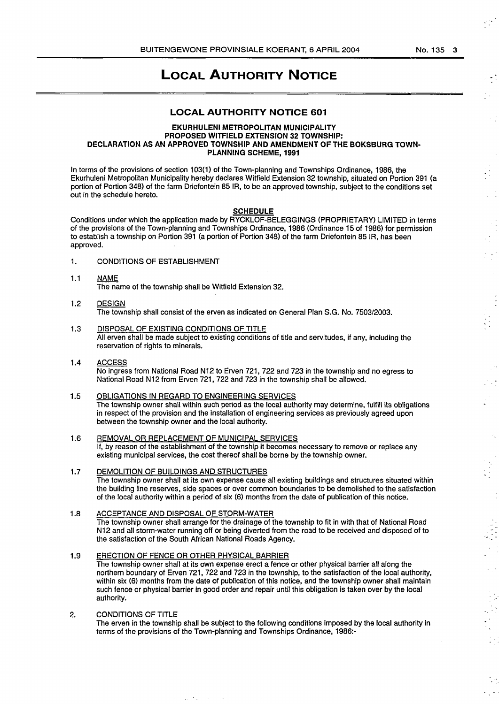$\frac{1}{2}$  .

 $\frac{1}{2}$  :

 $\frac{1}{2}$  ,  $\frac{1}{2}$ 

 $\epsilon_{\rm{eff}}$  :

# **LOCAL AUTHORITY NOTICE**

## **LOCAL AUTHORITY NOTICE 601**

#### **EKURHULENI METROPOLITAN MUNICIPALITY PROPOSED WITFIELD EXTENSION 32 TOWNSHIP: DECLARATION AS AN APPROVED TOWNSHIP AND AMENDMENT OF THE BOKSBURG TOWN-PLANNING SCHEME, 1991**

In terms of the provisions of section 103(1) of the Town-planning and Townships Ordinance, 1986, the Ekurhuleni Metropolitan Municipality hereby declares Witfield Extension 32 township, situated on Portion 391 (a portion of Portion 348) of the farm Driefontein 85 IR, to be an approved township, subject to the conditions set out in the schedule hereto.

#### **SCHEDULE**

Conditions under which the application made by RYCKLOF-BELEGGINGS (PROPRIETARY) LIMITED in terms of the provisions of the Town-planning and Townships Ordinance, 1986 (Ordinance 15 of 1986) for permission to establish a township on Portion 391 (a portion of Portion 348) of the farm Driefontein 85 IR, has been approved.

1. CONDITIONS OF ESTABLISHMENT

## 1.1 NAME The name of the township shall be Witfield Extension 32.

- 1.2 DESIGN The township shall consist of the erven as indicated on General Plan S.G. No. 7503/2003.
- 1.3 DISPOSAL OF EXISTING CONDITIONS OF TITLE All erven shall be made subject to existing conditions of title and servitudes, if any, including the reservation of rights to minerals.
- 1.4 ACCESS No ingress from National Road N12 to Erven 721, 722 and 723 in the township and no egress to National Road N12 from Erven 721, 722 and 723 in the township shall be allowed.
- 1.5 OBLIGATIONS IN REGARD TO ENGINEERING SERVICES The township owner shall within such period as the local authority may determine, fulfill its obligations in respect of the provision and the installation of engineering services as previously agreed upon between the township owner and the local authority.
- 1.6 REMOVAL OR REPLACEMENT OF MUNICIPAL SERVICES If, by reason of the establishment of the township it becomes necessary to remove or replace any existing municipal services, the cost thereof shall be borne by the township owner.
- 1.7 DEMOLITION OF BUILDINGS AND STRUCTURES The township owner shall at its own expense cause all existing buildings and structures situated within the building line reserves, side spaces or over common boundaries to be demolished to the satisfaction of the local authority within a period of six (6) months from the date of publication of this notice.

#### 1.8 ACCEPTANCE AND DISPOSAL OF STORM-WATER The township owner shall arrange for the drainage of the township to fit in with that of National Road N 12 and all storm-water running off or being diverted from the road to be received and disposed of to the satisfaction of the South African National Roads Agency.

- 1.9 ERECTION OF FENCE OR OTHER PHYSICAL BARRIER The township owner shall at its own expense erect a fence or other physical barrier all along the northern boundary of Erven 721, 722 and 723 in the township, to the satisfaction of the local authority, within six (6) months from the date of publication of this notice, and the township owner shall maintain such fence or physical barrier in good order and repair until this obligation is taken over by the local authority.
- 2. CONDITIONS OF TITLE The erven in the township shall be subject to the following conditions imposed by the local authority in terms of the provisions of the Town-planning and Townships Ordinance, 1986:-

 $\sim 100$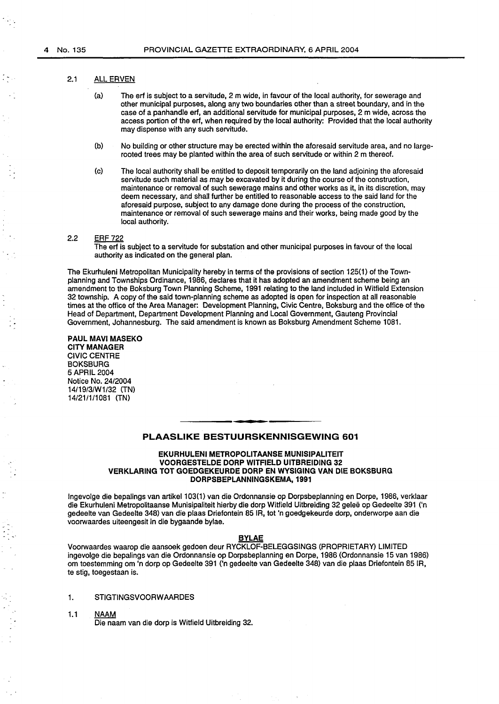## 2.1 ALL ERVEN

- (a) The erf is subject to a servitude, 2 m wide, in favour of the local authority, for sewerage and other municipal purposes, along any two boundaries other than a street boundary, and in the case of a panhandle erf, an additional servitude for municipal purposes, 2 m wide, across the access portion of the erf, when required by the local authority: Provided that the local authority may dispense with any such servitude.
- (b) No building or other structure may be erected within the aforesaid servitude area, and no largerooted trees may be planted within the area of such servitude or within 2 m thereof.
- (c) The local authority shall be entitled to deposit temporarily on the land adjoining the aforesaid servitude such material as may be excavated by it during the course of the construction, maintenance or removal of such sewerage mains and other works as it, in its discretion, may deem necessary, and shall further be entitled to reasonable access to the said land for the aforesaid purpose, subject to any damage done during the process of the construction, maintenance or removal of such sewerage mains and their works, being made good by the local authority.

#### 2.2 ERF 722

The erf is subject to a servitude for substation and other municipal purposes in favour of the local authority as indicated on the general plan.

The Ekurhuleni Metropolitan Municipality hereby in terms of the provisions of section 125(1) of the Townplanning and Townships Ordinance, 1986, declares that it has adopted an amendment scheme being an amendment to the Boksburg Town Planning Scheme, 1991 relating to the land included in Witfield Extension 32 township. A copy of the said town-planning scheme as adopted is open for inspection at all reasonable times at the office of the Area Manager: Development Planning, Civic Centre, Boksburg and the office of the Head of Department, Department Development Planning and Local Government, Gauteng Provincial Government, Johannesburg. The said amendment is known as Boksburg Amendment Scheme 1081.

#### PAUL MAVI MASEKO CITY MANAGER CIVIC CENTRE **BOKSBURG** 5APRIL2004 Notice No. 24/2004 14/19/3/W1/32 (TN) 14/21/1/1081 (TN)

## PLAASLIKE BESTUURSKENNISGEWING 601

#### EKURHULENI METROPOLITAANSE MUNISIPALITEIT VOORGESTELDE DORP WITFIELD UITBREIDING 32 VERKLARING TOT GOEDGEKEURDE DORP EN WYSIGING VAN DIE BOKSBURG DORPSBEPLANNINGSKEMA, 1991

Ingevolge die bepalings van artikel 103(1) van die Ordonnansie op Dorpsbeplanning en Dorpe, 1986, verklaar die Ekurhuleni Metropolitaanse Munisipaliteit hierby die dorp Witfield Uitbreiding 32 gelee op Gedeelte 391 ('n gedeelte van Gedeelte 348) van die plaas Driefontein 85 IR, tot 'n goedgekeurde dorp, onderworpe aan die voorwaardes uiteengesit in die bygaande bylae.

## BYLAE

Voorwaardes waarop die aansoek gedoen deur RYCKLOF-BELEGGSINGS (PROPRIETARY) LIMITED ingevolge die bepalings van die Ordonnansie op Dorpsbeplanning en Dorpe, 1986 (Ordonnansie 15 van 1986) om toestemming om 'n dorp op Gedeelte 391 ('n gedeelte van Gedeelte 348) van die plaas Driefontein 85 IR, te stig, toegestaan is.

#### 1. STIGTINGSVOORWAARDES

1.1 NAAM Die naam van die dorp is Witfield Uitbreiding 32.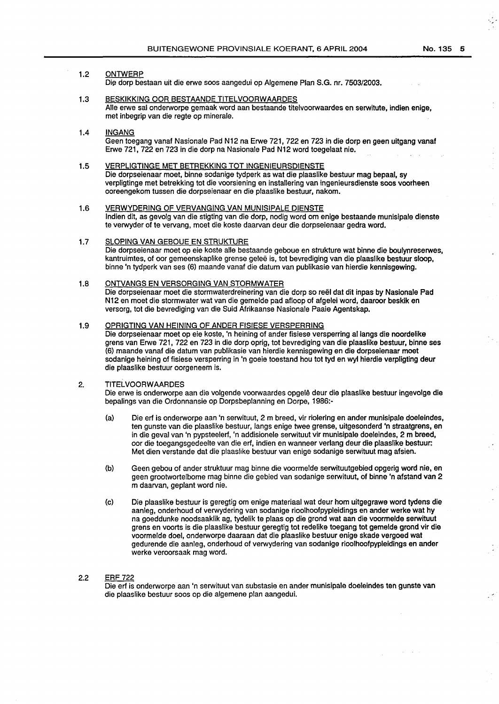## 1.2 ONTWERP

Die dorp bestaan uit die erwe soos aangedui op Algemene Plan S.G. nr. 7503/2003.

- 1.3 BESKJKKJNG OOR BESTAANDE TITELVOORWAARDES Aile erwe sal onderworpe gemaak word aan bestaande titelvoorwaardes en serwitute, indian enige, met inbegrip van die regte op minerale.
- 1.4 INGANG Geen toegang vanaf Nasionale Pad N12 na Erwe 721, 722 en 723 in die dorp en geen uitgang vanaf Erwe 721, 722 en 723 in die dorp na Nasionale Pad N12 word toegelaat nie.
- 1.5 VERPLIGTINGE MET BETREKKING TOT INGENIEURSDIENSTE Die dorpseienaar moet, binne sodanige tydperk as wat die plaaslike bestuur mag bepaal, sy verpligtinge met betrekking tot die voorsiening en installering van ingenieursdienste soos voorheen ooreengekom tussen die dorpseienaar en die plaaslike bestuur, nakom.
- 1.6 VERWYDERING OF VERVANGING VAN MUNISIPALE DIENSTE lndien dit, as gevolg van die stigting van die dorp, nodig word om enige bestaande munisipale dienste te verwyder of te vervang, moet die koste daarvan deur die dorpseienaar gedra word.
- 1.7 SLOPING VAN GEBOUE EN STRUKTURE Die dorpseienaar moet op eie koste alle bestaande geboue en strukture wat binne die boulynreserwes, kantruimtes, of oor gemeenskaplike grense gelee is, tot bevrediging van die plaaslike bestuur sloop, binne 'n tydperk van ses (6) maande vanaf die datum van publikasie van hierdie kennisgewing.
- 1.8 ONTVANGS EN VERSORGING VAN STORMWATER Die dorpseienaar moet die stormwaterdreinering van die dorp so reel dat dit inpas by Nasionale Pad N12 en moet die stormwater wat van die gemelde pad afloop of afgelei word, daaroor beskik en versorg, tot die bevrediging van die Suid Afrikaanse Nasionale Paaie Agentskap.
- 1.9 OPRIGTING VAN HEINING OF ANDER FISIESE VERSPERRING Die dorpseienaar moet op eie koste, 'n heining of ander fisiese versperring al langs die noordelike grens van Erwe 721, 722 en 723 in die dorp oprig, tot bevrediging van die plaaslike bestuur, binne ses (6) maande vanaf die datum van publikasie van hierdie kennisgewing en die dorpseienaar moet sodanige heining of fisiese versperring in 'n goeie toestand hou tot tyd en wyl hierdie verpligting deur die plaaslike bestuur oorgeneem is.
- 2. TITELVOORWAARDES

Die erwe is onderworpe aan die volgende voorwaardes opgele deur die plaaslike bestuur ingevolge die bepalings van die Ordonnansie op Dorpsbeplanning en Dorpe, 1986:-

- (a) Die erf is onderworpe aan 'n serwituut, 2 m breed, vir riolering en ander munisipale doeleindes, ten gunste van die plaaslike bestuur, langs enige twee grense, uitgesonderd 'n straatgrens, en in die geval van 'n pypsteelerf, 'n addisionele serwituut vir munisipale doeleindes, 2 m breed, oor die toegangsgedeelte van die erf, indien en wanneer verlang deur die plaaslike bestuur: Met dien verstande dat die plaaslike bestuur van enige sodanige serwituut mag afsien.
- (b) Geen gebou of ander struktuur mag binne die voormelde serwituutgebied opgerig word nie, en geen grootwortelbome mag binne die gebied van sodanige serwituut, of binne 'n afstand van 2 m daarvan, geplant word nie.
- (c) Die plaaslike bestuur is geregtig om enige materiaal wat deur hom uitgegrawe word tydens die aanleg, onderhoud of verwydering van sodanige rioolhoofpypleidings en ander werke wat hy na goeddunke noodsaaklik ag, tydelik te plaas op die grond wat aan die voormelde serwituut grens en voorts is die plaaslike bestuur geregtig tot redelike toegang tot gemelde grond vir die voormelde doe!, onderworpe daaraan dat die plaaslike bestuur enige skade vergoed wat gedurende die aanleg, onderhoud of verwydering van sodanige rioolhoofpypleidings en ander werke veroorsaak mag word.
- 2.2 ERF 722

Die erf is onderworpe aan 'n serwituut van substasie en ander munisipale doeleindes ten gunste van die plaaslike bestuur soos op die algemene plan aangedui.

 $\mathcal{L}$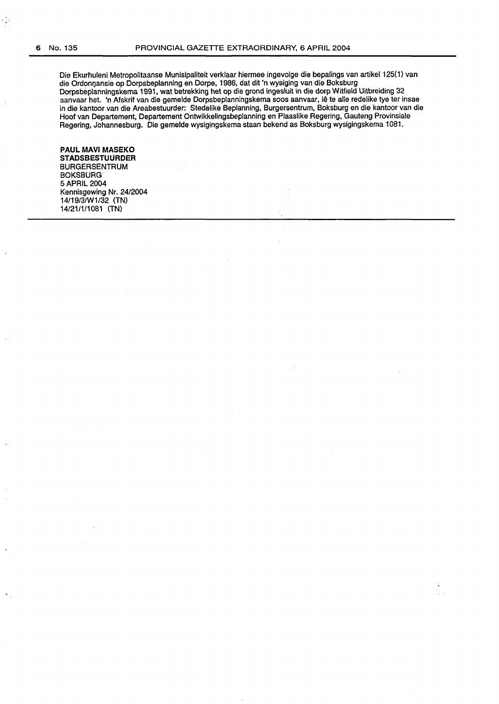Die Ekurhuleni Metropolitaanse Munisipaliteit verklaar hiermee ingevolge die bepalings van artikel 125(1) van die Ordonnansie op Dorpsbeplanning en Dorpe, 1986, dat dit 'n wysiging van die Boksburg Dorpsbeplanningskema 1991, wat betrekking het op die grand ingesluit in die dorp Witfield Uitbreiding 32 aanvaar het. 'n Afskrif van die gemelde Dorpsbeplanningskema soos aanvaar, lê te alle redelike tye ter insae in die kantoor van die Areabestuurder: Stedelike Beplanning, Burgersentrum, Boksburg en die kantoor van die Hoof van Departement, Departement Ontwikkelingsbeplanning en Plaaslike Regering, Gauteng Provinsiale Regering, Johannesburg. Die gemelde wysigingskema staan bekend as Boksburg wysigingskema 1081.

# **PAUL MAVI MASEKO**

**STADSBESTUURDER**  BURGERSENTRUM **BOKSBURG** 5APRIL 2004 Kennisgewing Nr. 24/2004 14/19/3/W1/32 (TN) 14/21/1/1081 (TN)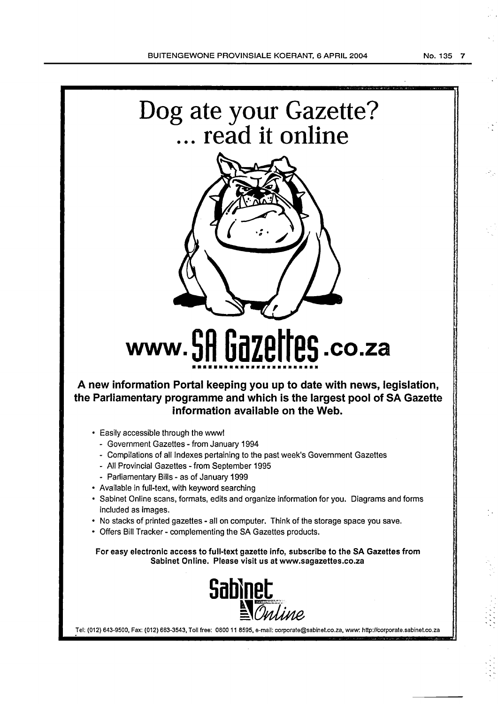

- Compilations of all Indexes pertaining to the past week's Government Gazettes
- All Provincial Gazettes- from September 1995
- Parliamentary Bills- as of January 1999
- Available in full-text, with keyword searching
- Sabinet Online scans, formats, edits and organize information for you. Diagrams and forms included as images.
- No stacks of printed gazettes all on computer. Think of the storage space you save.
- Offers Bill Tracker- complementing the SA Gazettes products.

For easy electronic access to full-text gazette info, subscribe to the SA Gazettes from Sabinet Online. Please visit us at www.sagazettes.co.za



Tel: (012) 643-9500, Fax: (012) 663-3543, Toll free: 0800 11 8595, e-mail: corporate@sabinet.co.za, www: http://corporate.sabinet.co.za